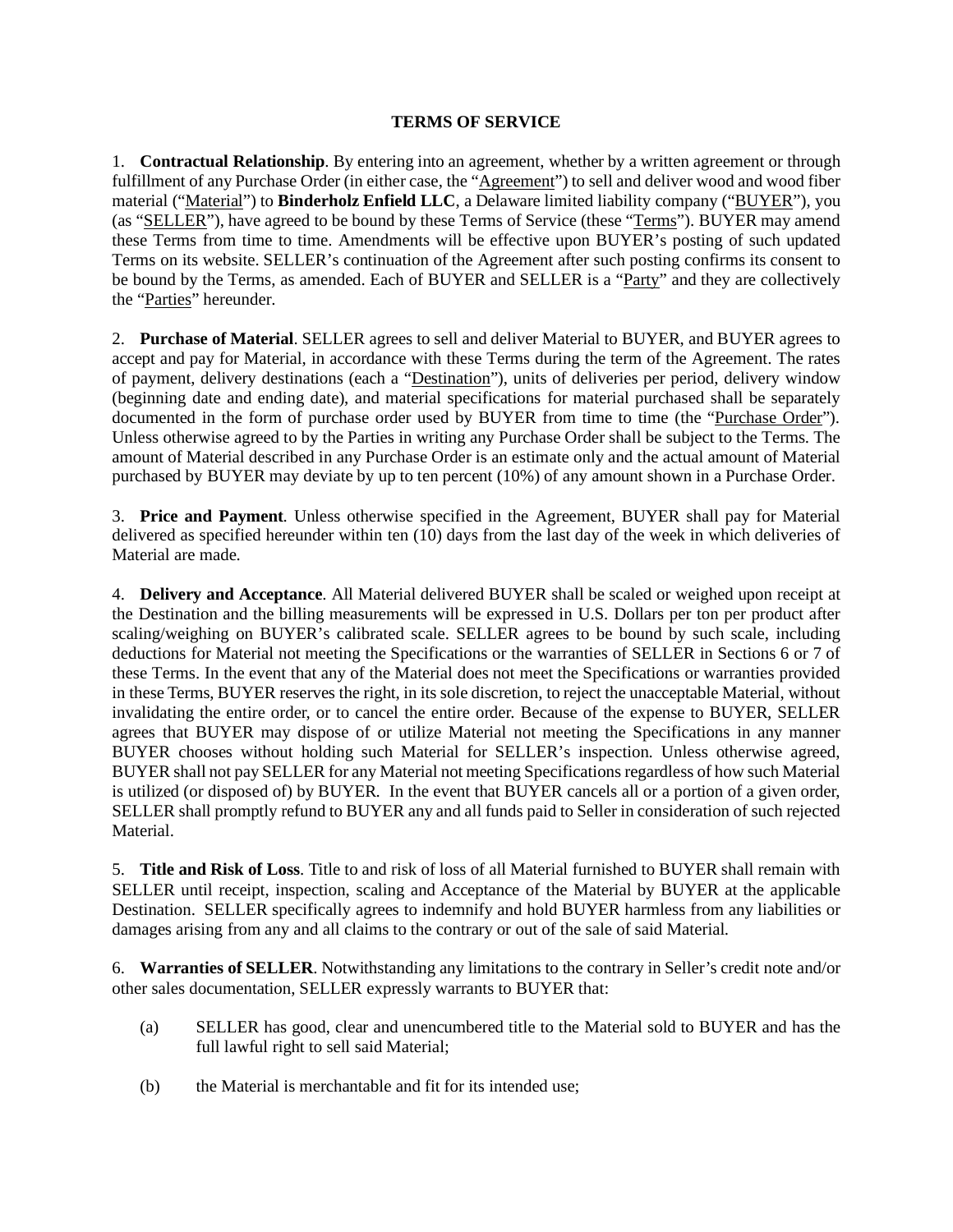## **TERMS OF SERVICE**

1. **Contractual Relationship**. By entering into an agreement, whether by a written agreement or through fulfillment of any Purchase Order (in either case, the "Agreement") to sell and deliver wood and wood fiber material ("Material") to **Binderholz Enfield LLC**, a Delaware limited liability company ("BUYER"), you (as "SELLER"), have agreed to be bound by these Terms of Service (these "Terms"). BUYER may amend these Terms from time to time. Amendments will be effective upon BUYER's posting of such updated Terms on its website. SELLER's continuation of the Agreement after such posting confirms its consent to be bound by the Terms, as amended. Each of BUYER and SELLER is a "Party" and they are collectively the "Parties" hereunder.

2. **Purchase of Material**. SELLER agrees to sell and deliver Material to BUYER, and BUYER agrees to accept and pay for Material, in accordance with these Terms during the term of the Agreement. The rates of payment, delivery destinations (each a "Destination"), units of deliveries per period, delivery window (beginning date and ending date), and material specifications for material purchased shall be separately documented in the form of purchase order used by BUYER from time to time (the "Purchase Order"). Unless otherwise agreed to by the Parties in writing any Purchase Order shall be subject to the Terms. The amount of Material described in any Purchase Order is an estimate only and the actual amount of Material purchased by BUYER may deviate by up to ten percent (10%) of any amount shown in a Purchase Order.

3. **Price and Payment**. Unless otherwise specified in the Agreement, BUYER shall pay for Material delivered as specified hereunder within ten (10) days from the last day of the week in which deliveries of Material are made.

4. **Delivery and Acceptance**. All Material delivered BUYER shall be scaled or weighed upon receipt at the Destination and the billing measurements will be expressed in U.S. Dollars per ton per product after scaling/weighing on BUYER's calibrated scale. SELLER agrees to be bound by such scale, including deductions for Material not meeting the Specifications or the warranties of SELLER in Sections 6 or 7 of these Terms. In the event that any of the Material does not meet the Specifications or warranties provided in these Terms, BUYER reserves the right, in its sole discretion, to reject the unacceptable Material, without invalidating the entire order, or to cancel the entire order. Because of the expense to BUYER, SELLER agrees that BUYER may dispose of or utilize Material not meeting the Specifications in any manner BUYER chooses without holding such Material for SELLER's inspection. Unless otherwise agreed, BUYER shall not pay SELLER for any Material not meeting Specifications regardless of how such Material is utilized (or disposed of) by BUYER. In the event that BUYER cancels all or a portion of a given order, SELLER shall promptly refund to BUYER any and all funds paid to Seller in consideration of such rejected Material.

5. **Title and Risk of Loss**. Title to and risk of loss of all Material furnished to BUYER shall remain with SELLER until receipt, inspection, scaling and Acceptance of the Material by BUYER at the applicable Destination. SELLER specifically agrees to indemnify and hold BUYER harmless from any liabilities or damages arising from any and all claims to the contrary or out of the sale of said Material.

6. **Warranties of SELLER**. Notwithstanding any limitations to the contrary in Seller's credit note and/or other sales documentation, SELLER expressly warrants to BUYER that:

- (a) SELLER has good, clear and unencumbered title to the Material sold to BUYER and has the full lawful right to sell said Material;
- (b) the Material is merchantable and fit for its intended use;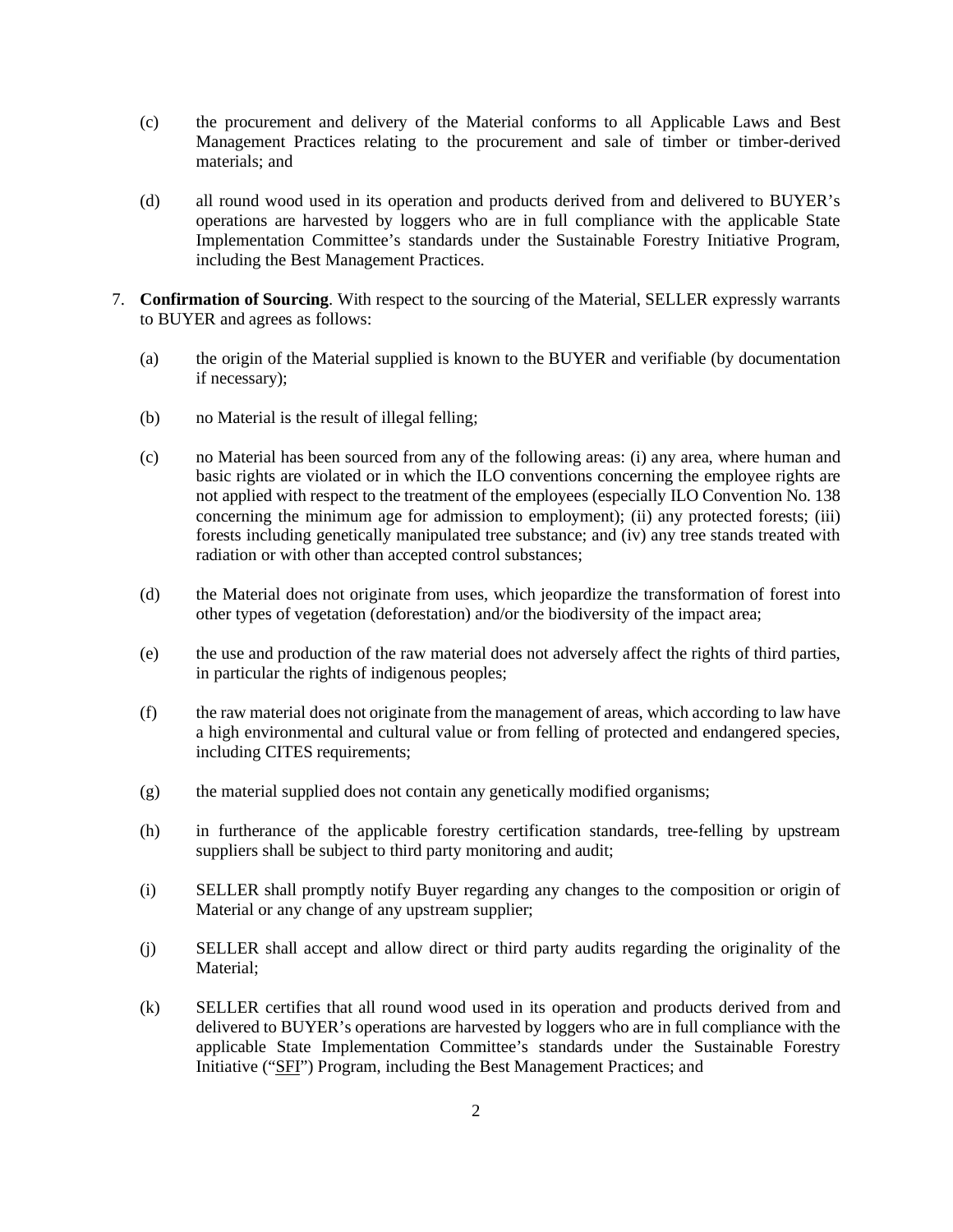- (c) the procurement and delivery of the Material conforms to all Applicable Laws and Best Management Practices relating to the procurement and sale of timber or timber-derived materials; and
- (d) all round wood used in its operation and products derived from and delivered to BUYER's operations are harvested by loggers who are in full compliance with the applicable State Implementation Committee's standards under the Sustainable Forestry Initiative Program, including the Best Management Practices.
- 7. **Confirmation of Sourcing**. With respect to the sourcing of the Material, SELLER expressly warrants to BUYER and agrees as follows:
	- (a) the origin of the Material supplied is known to the BUYER and verifiable (by documentation if necessary);
	- (b) no Material is the result of illegal felling;
	- (c) no Material has been sourced from any of the following areas: (i) any area, where human and basic rights are violated or in which the ILO conventions concerning the employee rights are not applied with respect to the treatment of the employees (especially ILO Convention No. 138 concerning the minimum age for admission to employment); (ii) any protected forests; (iii) forests including genetically manipulated tree substance; and (iv) any tree stands treated with radiation or with other than accepted control substances;
	- (d) the Material does not originate from uses, which jeopardize the transformation of forest into other types of vegetation (deforestation) and/or the biodiversity of the impact area;
	- (e) the use and production of the raw material does not adversely affect the rights of third parties, in particular the rights of indigenous peoples;
	- (f) the raw material does not originate from the management of areas, which according to law have a high environmental and cultural value or from felling of protected and endangered species, including CITES requirements;
	- (g) the material supplied does not contain any genetically modified organisms;
	- (h) in furtherance of the applicable forestry certification standards, tree-felling by upstream suppliers shall be subject to third party monitoring and audit;
	- (i) SELLER shall promptly notify Buyer regarding any changes to the composition or origin of Material or any change of any upstream supplier;
	- (j) SELLER shall accept and allow direct or third party audits regarding the originality of the Material;
	- (k) SELLER certifies that all round wood used in its operation and products derived from and delivered to BUYER's operations are harvested by loggers who are in full compliance with the applicable State Implementation Committee's standards under the Sustainable Forestry Initiative ("SFI") Program, including the Best Management Practices; and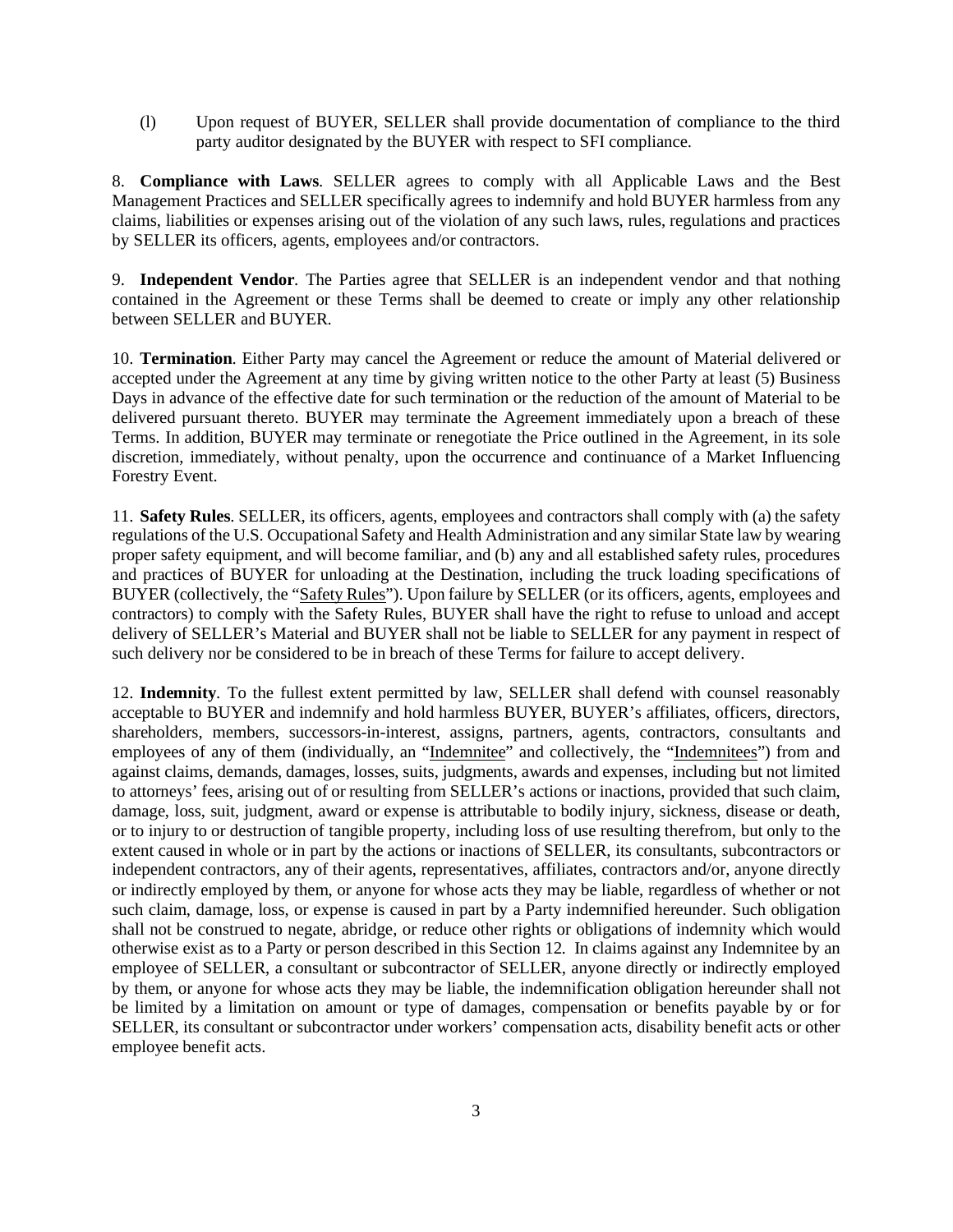(l) Upon request of BUYER, SELLER shall provide documentation of compliance to the third party auditor designated by the BUYER with respect to SFI compliance.

8. **Compliance with Laws**. SELLER agrees to comply with all Applicable Laws and the Best Management Practices and SELLER specifically agrees to indemnify and hold BUYER harmless from any claims, liabilities or expenses arising out of the violation of any such laws, rules, regulations and practices by SELLER its officers, agents, employees and/or contractors.

9. **Independent Vendor**. The Parties agree that SELLER is an independent vendor and that nothing contained in the Agreement or these Terms shall be deemed to create or imply any other relationship between SELLER and BUYER.

10. **Termination**. Either Party may cancel the Agreement or reduce the amount of Material delivered or accepted under the Agreement at any time by giving written notice to the other Party at least (5) Business Days in advance of the effective date for such termination or the reduction of the amount of Material to be delivered pursuant thereto. BUYER may terminate the Agreement immediately upon a breach of these Terms. In addition, BUYER may terminate or renegotiate the Price outlined in the Agreement, in its sole discretion, immediately, without penalty, upon the occurrence and continuance of a Market Influencing Forestry Event.

11. **Safety Rules**. SELLER, its officers, agents, employees and contractors shall comply with (a) the safety regulations of the U.S. Occupational Safety and Health Administration and any similar State law by wearing proper safety equipment, and will become familiar, and (b) any and all established safety rules, procedures and practices of BUYER for unloading at the Destination, including the truck loading specifications of BUYER (collectively, the "Safety Rules"). Upon failure by SELLER (or its officers, agents, employees and contractors) to comply with the Safety Rules, BUYER shall have the right to refuse to unload and accept delivery of SELLER's Material and BUYER shall not be liable to SELLER for any payment in respect of such delivery nor be considered to be in breach of these Terms for failure to accept delivery.

12. **Indemnity**. To the fullest extent permitted by law, SELLER shall defend with counsel reasonably acceptable to BUYER and indemnify and hold harmless BUYER, BUYER's affiliates, officers, directors, shareholders, members, successors-in-interest, assigns, partners, agents, contractors, consultants and employees of any of them (individually, an "Indemnitee" and collectively, the "Indemnitees") from and against claims, demands, damages, losses, suits, judgments, awards and expenses, including but not limited to attorneys' fees, arising out of or resulting from SELLER's actions or inactions, provided that such claim, damage, loss, suit, judgment, award or expense is attributable to bodily injury, sickness, disease or death, or to injury to or destruction of tangible property, including loss of use resulting therefrom, but only to the extent caused in whole or in part by the actions or inactions of SELLER, its consultants, subcontractors or independent contractors, any of their agents, representatives, affiliates, contractors and/or, anyone directly or indirectly employed by them, or anyone for whose acts they may be liable, regardless of whether or not such claim, damage, loss, or expense is caused in part by a Party indemnified hereunder. Such obligation shall not be construed to negate, abridge, or reduce other rights or obligations of indemnity which would otherwise exist as to a Party or person described in this Section 12. In claims against any Indemnitee by an employee of SELLER, a consultant or subcontractor of SELLER, anyone directly or indirectly employed by them, or anyone for whose acts they may be liable, the indemnification obligation hereunder shall not be limited by a limitation on amount or type of damages, compensation or benefits payable by or for SELLER, its consultant or subcontractor under workers' compensation acts, disability benefit acts or other employee benefit acts.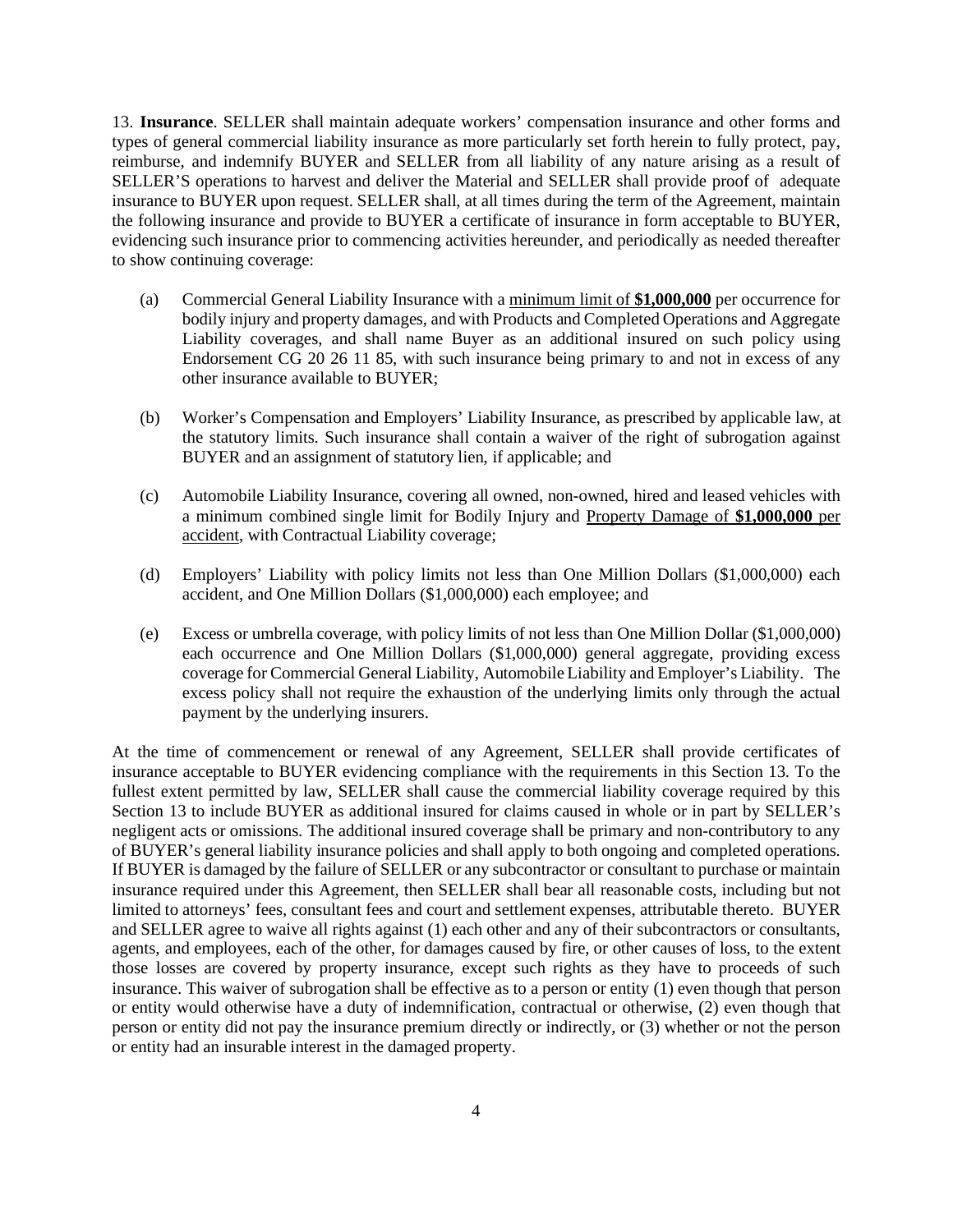13. **Insurance**. SELLER shall maintain adequate workers' compensation insurance and other forms and types of general commercial liability insurance as more particularly set forth herein to fully protect, pay, reimburse, and indemnify BUYER and SELLER from all liability of any nature arising as a result of SELLER'S operations to harvest and deliver the Material and SELLER shall provide proof of adequate insurance to BUYER upon request. SELLER shall, at all times during the term of the Agreement, maintain the following insurance and provide to BUYER a certificate of insurance in form acceptable to BUYER, evidencing such insurance prior to commencing activities hereunder, and periodically as needed thereafter to show continuing coverage:

- (a) Commercial General Liability Insurance with a minimum limit of **\$1,000,000** per occurrence for bodily injury and property damages, and with Products and Completed Operations and Aggregate Liability coverages, and shall name Buyer as an additional insured on such policy using Endorsement CG 20 26 11 85, with such insurance being primary to and not in excess of any other insurance available to BUYER;
- (b) Worker's Compensation and Employers' Liability Insurance, as prescribed by applicable law, at the statutory limits. Such insurance shall contain a waiver of the right of subrogation against BUYER and an assignment of statutory lien, if applicable; and
- (c) Automobile Liability Insurance, covering all owned, non-owned, hired and leased vehicles with a minimum combined single limit for Bodily Injury and Property Damage of **\$1,000,000** per accident, with Contractual Liability coverage;
- (d) Employers' Liability with policy limits not less than One Million Dollars (\$1,000,000) each accident, and One Million Dollars (\$1,000,000) each employee; and
- (e) Excess or umbrella coverage, with policy limits of not less than One Million Dollar (\$1,000,000) each occurrence and One Million Dollars (\$1,000,000) general aggregate, providing excess coverage for Commercial General Liability, Automobile Liability and Employer's Liability. The excess policy shall not require the exhaustion of the underlying limits only through the actual payment by the underlying insurers.

At the time of commencement or renewal of any Agreement, SELLER shall provide certificates of insurance acceptable to BUYER evidencing compliance with the requirements in this Section 13. To the fullest extent permitted by law, SELLER shall cause the commercial liability coverage required by this Section 13 to include BUYER as additional insured for claims caused in whole or in part by SELLER's negligent acts or omissions. The additional insured coverage shall be primary and non-contributory to any of BUYER's general liability insurance policies and shall apply to both ongoing and completed operations. If BUYER is damaged by the failure of SELLER or any subcontractor or consultant to purchase or maintain insurance required under this Agreement, then SELLER shall bear all reasonable costs, including but not limited to attorneys' fees, consultant fees and court and settlement expenses, attributable thereto. BUYER and SELLER agree to waive all rights against (1) each other and any of their subcontractors or consultants, agents, and employees, each of the other, for damages caused by fire, or other causes of loss, to the extent those losses are covered by property insurance, except such rights as they have to proceeds of such insurance. This waiver of subrogation shall be effective as to a person or entity (1) even though that person or entity would otherwise have a duty of indemnification, contractual or otherwise, (2) even though that person or entity did not pay the insurance premium directly or indirectly, or (3) whether or not the person or entity had an insurable interest in the damaged property.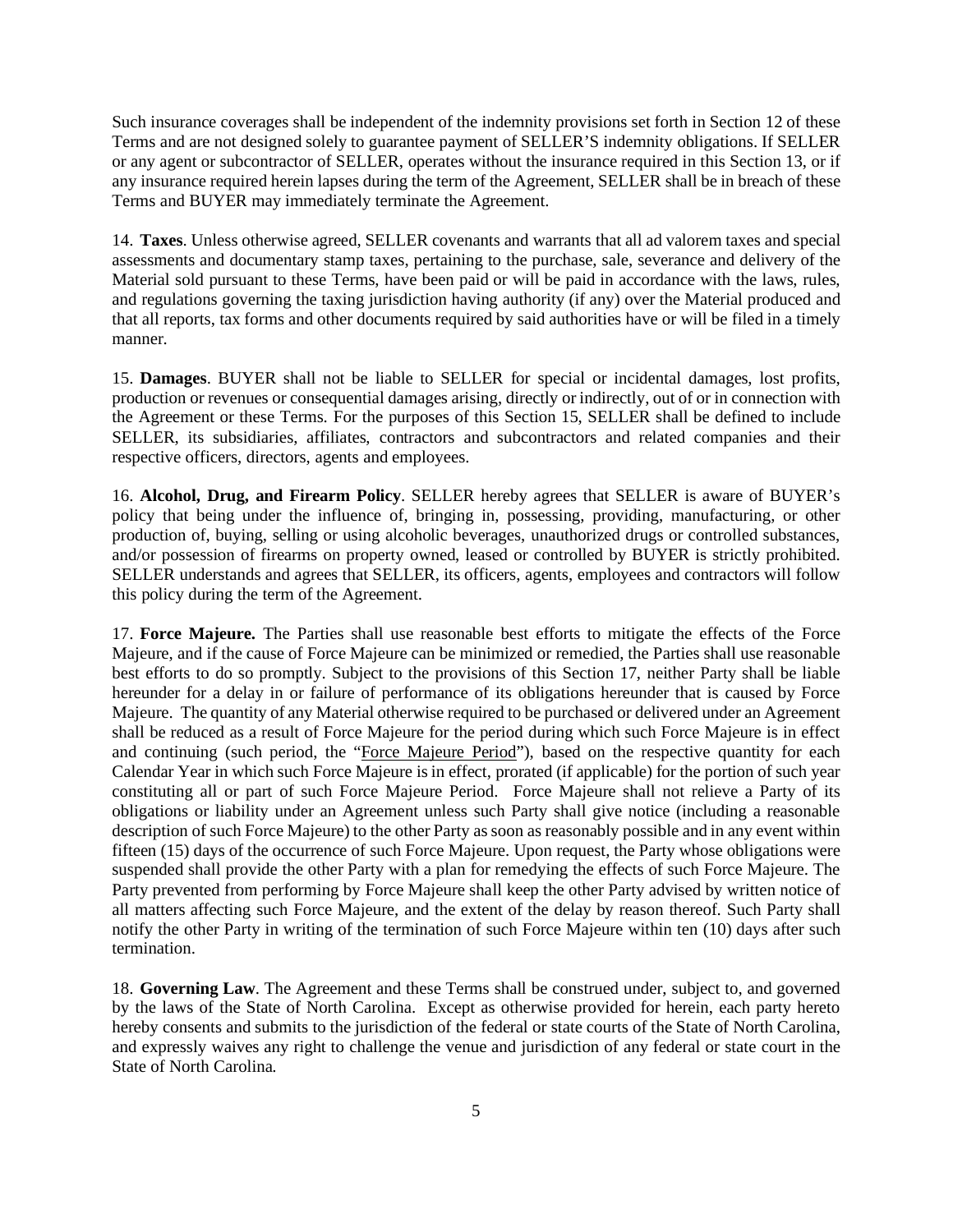Such insurance coverages shall be independent of the indemnity provisions set forth in Section 12 of these Terms and are not designed solely to guarantee payment of SELLER'S indemnity obligations. If SELLER or any agent or subcontractor of SELLER, operates without the insurance required in this Section 13, or if any insurance required herein lapses during the term of the Agreement, SELLER shall be in breach of these Terms and BUYER may immediately terminate the Agreement.

14. **Taxes**. Unless otherwise agreed, SELLER covenants and warrants that all ad valorem taxes and special assessments and documentary stamp taxes, pertaining to the purchase, sale, severance and delivery of the Material sold pursuant to these Terms, have been paid or will be paid in accordance with the laws, rules, and regulations governing the taxing jurisdiction having authority (if any) over the Material produced and that all reports, tax forms and other documents required by said authorities have or will be filed in a timely manner.

15. **Damages**. BUYER shall not be liable to SELLER for special or incidental damages, lost profits, production or revenues or consequential damages arising, directly or indirectly, out of or in connection with the Agreement or these Terms. For the purposes of this Section 15, SELLER shall be defined to include SELLER, its subsidiaries, affiliates, contractors and subcontractors and related companies and their respective officers, directors, agents and employees.

16. **Alcohol, Drug, and Firearm Policy**. SELLER hereby agrees that SELLER is aware of BUYER's policy that being under the influence of, bringing in, possessing, providing, manufacturing, or other production of, buying, selling or using alcoholic beverages, unauthorized drugs or controlled substances, and/or possession of firearms on property owned, leased or controlled by BUYER is strictly prohibited. SELLER understands and agrees that SELLER, its officers, agents, employees and contractors will follow this policy during the term of the Agreement.

17. **Force Majeure.** The Parties shall use reasonable best efforts to mitigate the effects of the Force Majeure, and if the cause of Force Majeure can be minimized or remedied, the Parties shall use reasonable best efforts to do so promptly. Subject to the provisions of this Section 17, neither Party shall be liable hereunder for a delay in or failure of performance of its obligations hereunder that is caused by Force Majeure. The quantity of any Material otherwise required to be purchased or delivered under an Agreement shall be reduced as a result of Force Majeure for the period during which such Force Majeure is in effect and continuing (such period, the "Force Majeure Period"), based on the respective quantity for each Calendar Year in which such Force Majeure is in effect, prorated (if applicable) for the portion of such year constituting all or part of such Force Majeure Period. Force Majeure shall not relieve a Party of its obligations or liability under an Agreement unless such Party shall give notice (including a reasonable description of such Force Majeure) to the other Party as soon as reasonably possible and in any event within fifteen (15) days of the occurrence of such Force Majeure. Upon request, the Party whose obligations were suspended shall provide the other Party with a plan for remedying the effects of such Force Majeure. The Party prevented from performing by Force Majeure shall keep the other Party advised by written notice of all matters affecting such Force Majeure, and the extent of the delay by reason thereof. Such Party shall notify the other Party in writing of the termination of such Force Majeure within ten (10) days after such termination.

18. **Governing Law**. The Agreement and these Terms shall be construed under, subject to, and governed by the laws of the State of North Carolina. Except as otherwise provided for herein, each party hereto hereby consents and submits to the jurisdiction of the federal or state courts of the State of North Carolina, and expressly waives any right to challenge the venue and jurisdiction of any federal or state court in the State of North Carolina.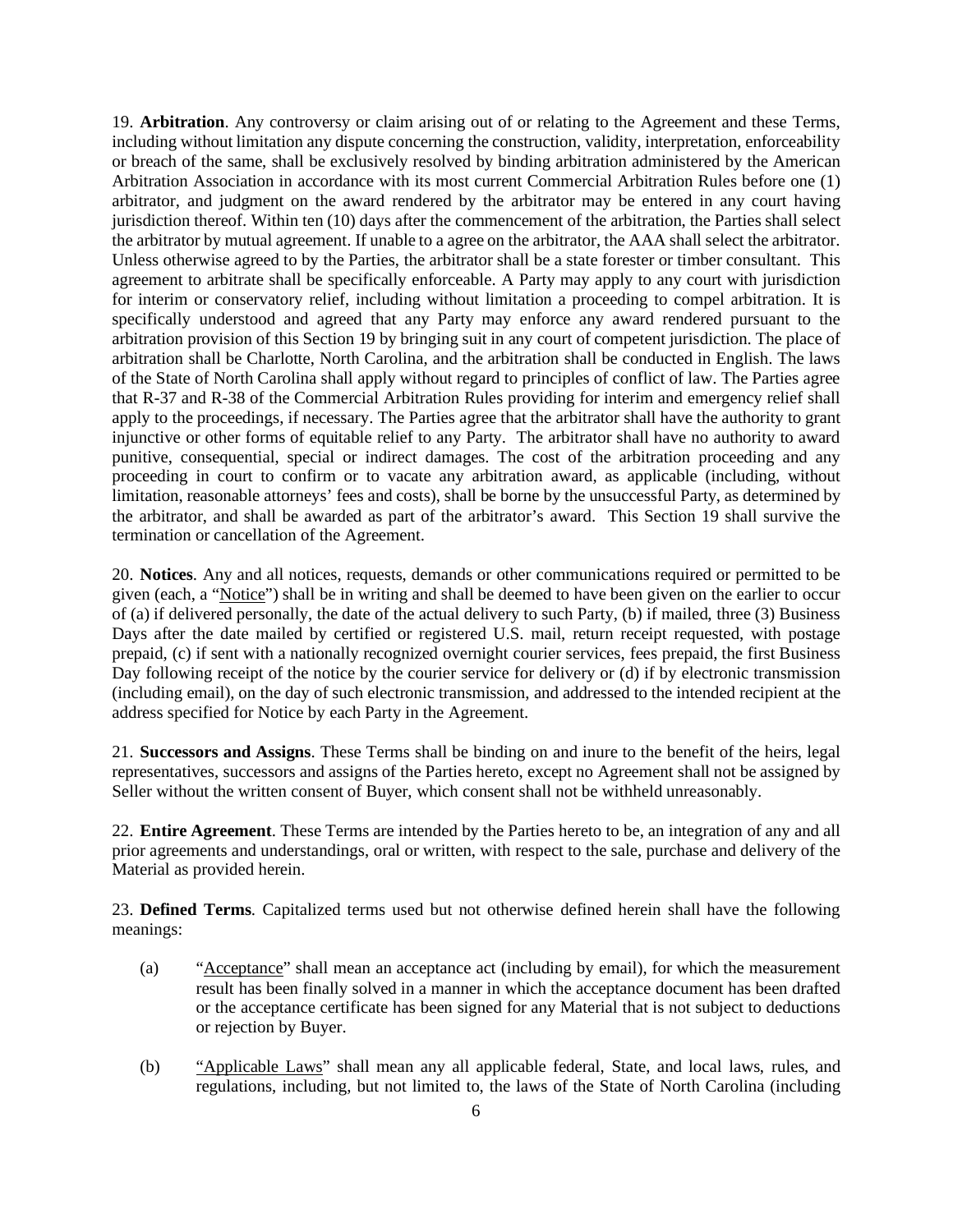19. **Arbitration**. Any controversy or claim arising out of or relating to the Agreement and these Terms, including without limitation any dispute concerning the construction, validity, interpretation, enforceability or breach of the same, shall be exclusively resolved by binding arbitration administered by the American Arbitration Association in accordance with its most current Commercial Arbitration Rules before one (1) arbitrator, and judgment on the award rendered by the arbitrator may be entered in any court having jurisdiction thereof. Within ten (10) days after the commencement of the arbitration, the Parties shall select the arbitrator by mutual agreement. If unable to a agree on the arbitrator, the AAA shall select the arbitrator. Unless otherwise agreed to by the Parties, the arbitrator shall be a state forester or timber consultant. This agreement to arbitrate shall be specifically enforceable. A Party may apply to any court with jurisdiction for interim or conservatory relief, including without limitation a proceeding to compel arbitration. It is specifically understood and agreed that any Party may enforce any award rendered pursuant to the arbitration provision of this Section 19 by bringing suit in any court of competent jurisdiction. The place of arbitration shall be Charlotte, North Carolina, and the arbitration shall be conducted in English. The laws of the State of North Carolina shall apply without regard to principles of conflict of law. The Parties agree that R-37 and R-38 of the Commercial Arbitration Rules providing for interim and emergency relief shall apply to the proceedings, if necessary. The Parties agree that the arbitrator shall have the authority to grant injunctive or other forms of equitable relief to any Party. The arbitrator shall have no authority to award punitive, consequential, special or indirect damages. The cost of the arbitration proceeding and any proceeding in court to confirm or to vacate any arbitration award, as applicable (including, without limitation, reasonable attorneys' fees and costs), shall be borne by the unsuccessful Party, as determined by the arbitrator, and shall be awarded as part of the arbitrator's award. This Section 19 shall survive the termination or cancellation of the Agreement.

20. **Notices**. Any and all notices, requests, demands or other communications required or permitted to be given (each, a "Notice") shall be in writing and shall be deemed to have been given on the earlier to occur of (a) if delivered personally, the date of the actual delivery to such Party, (b) if mailed, three (3) Business Days after the date mailed by certified or registered U.S. mail, return receipt requested, with postage prepaid, (c) if sent with a nationally recognized overnight courier services, fees prepaid, the first Business Day following receipt of the notice by the courier service for delivery or (d) if by electronic transmission (including email), on the day of such electronic transmission, and addressed to the intended recipient at the address specified for Notice by each Party in the Agreement.

21. **Successors and Assigns**. These Terms shall be binding on and inure to the benefit of the heirs, legal representatives, successors and assigns of the Parties hereto, except no Agreement shall not be assigned by Seller without the written consent of Buyer, which consent shall not be withheld unreasonably.

22. **Entire Agreement**. These Terms are intended by the Parties hereto to be, an integration of any and all prior agreements and understandings, oral or written, with respect to the sale, purchase and delivery of the Material as provided herein.

23. **Defined Terms**. Capitalized terms used but not otherwise defined herein shall have the following meanings:

- (a) "Acceptance" shall mean an acceptance act (including by email), for which the measurement result has been finally solved in a manner in which the acceptance document has been drafted or the acceptance certificate has been signed for any Material that is not subject to deductions or rejection by Buyer.
- (b) "Applicable Laws" shall mean any all applicable federal, State, and local laws, rules, and regulations, including, but not limited to, the laws of the State of North Carolina (including